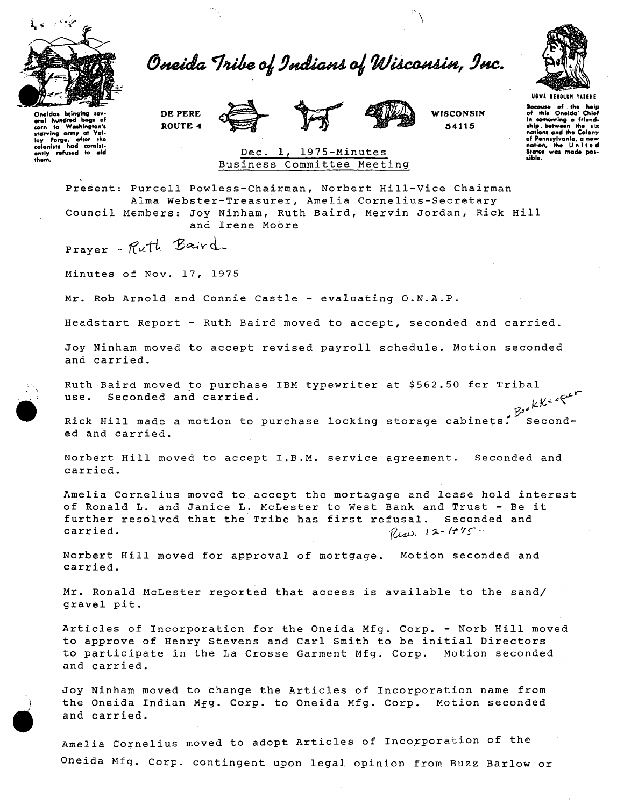

Oneida Tribe of Indians of Wisconsin, Inc.

**DE PERE ROUTE 4** 





**WISCONSIN 54115** 



Bocause of the help<br>of this Oneida Chief<br>in cementing a friend-<br>ship .between the six<br>nations and the Colony

of Pennsylvania, a new<br>nation, the United<br>States was made pos-

sible.

Oneidos bringing sov-<br>eral hundred bogs of<br>corn to Washington's<br>starving army at Vol-<br>ley Forgo, after the<br>colonists hod contin-<br>ently refused to aid them.

## Dec. 1, 1975-Minutes Business Committee Meeting

Present: Purcell Powless-Chairman, Norbert Hill-Vice Chairman Alma Webster-Treasurer, Amelia Cornelius-Secretary Council Members: Joy Ninham, Ruth Baird, Mervin Jordan, Rick Hill and Irene Moore

Prayer - Ruth Baird.

Minutes of Nov. 17, 1975

Mr. Rob Arnold and Connie Castle - evaluating O.N.A.P.

Headstart Report - Ruth Baird moved to accept , seconded and carried,

Joy Ninham moved to accept revised payroll schedule. Motion seconded and carried.

Ruth Baird moved to purchase IBM typewriter at \$562.50 for Tribal use. Seconded and carried.

Rick Hill made a motion to purchase locking storage cabinets. Seconded and carried.

Norbert Hill moved to accept I.B.M. service agreement. Seconded and carried.

Amelia Cornelius moved to accept the mortagage and lease hold interest of Ronald L. and Janice L. McLester to West Bank and Trust - Be it further resolved that the Tribe has first refusal. Seconded and carried.  $\eta_{\mu\nu}$ , 12-1+75.

Norbert Hill moved for approval of mortgage. Motion seconded and carried.

Mr. Ronald McLester reported that access is available to the sand/ gravel pit.

Articles of Incorporation for the Oneida Mfg. Corp. - Norb Hill moved to approve of Henry Stevens and Carl Smith to be initial Directors to participate in the La Crosse Garment Mfg. Corp. Motion seconded and carried.

Joy Ninham moved to change the Articles of Incorporation name from the Oneida Indian j the Oneida Indian Mfg. Corp. to Oneida Mfg. Corp. Motion seconded and carried.

Amelia Cornelius moved to adopt Articles of Incorporation of the Oneida Mfg. Corp. contingent upon legal opinion from Buzz Barlow or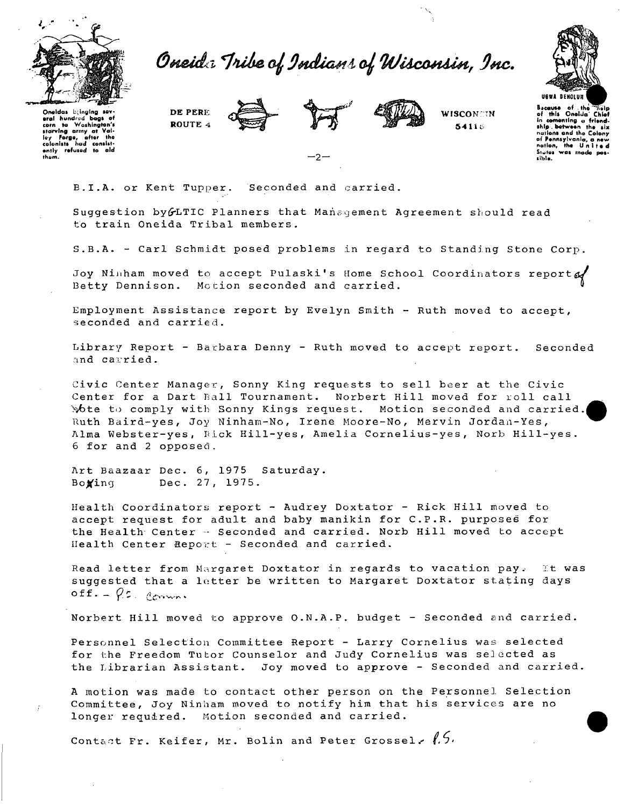

Oneid: Tribe of Indians of Wisconsin, Inc.



Oneldas bilinging sev-Oneidas bijnging sev-<br>eral hundred bogs of<br>corn to Washington's<br>starving army at Val-<br>ley Forge, after the<br>colonist for distance on the ends<br>enly refused to ald<br>them. DE PERE ROUTE 4





WISCONER 54116

Because of the nailpot the nailpot this Onelia Chief<br>in comenting a friend-<br>ship between the six nations and the Colony of Pennsylvania, a new States was made sible.

B.I.A. or Kent Tupper. Seconded and carried.

Suggestion by GLTIC Planners that Management Agreement should read to train Oneida Tribal members.

-2

S.B.A. - Carl Schmidt posed problems in regard to Standing Stone Corp.

Joy Ninham moved to accept Pulaski's Home School Coordinators report  $\mathcal{A}$ Betty Dennison. Motion seconded and carried.

Employment Assistance report by Evelyn Smith - Ruth moved to accept, seconded and carried.

Library Report - Barbara Denny - Ruth moved to accept report. Seconded and carried.

Civic Center Manager, Sonny King requests to sell beer at the Civic Center for a Dart Ball Tournament. Norbert Hill moved for roll call Wote to comply with Sonny Kings request. Motion seconded and carried. Ruth Baird-yes, Joy Ninham-No, Irene Moore-No, Mervin Jordan-Yes, Alma Webster-yes, Rick Hill-yes, Amelia Cornelius-yes, Norb Hill-yes. 6 for and 2 opposed.

Art Baazaar Dec. 6, 1975 Saturday. Dec. 27, 1975. Boxing

Health Coordinators report - Audrey Doxtator - Rick Hill moved to accept request for adult and baby manikin for C.P.R. purposes for the Health Center - Seconded and carried. Norb Hill moved to accept Health Center Report - Seconded and carried.

Read letter from Margaret Doxtator in regards to vacation pay. It was suggested that a letter be written to Margaret Doxtator stating days  $off.-\rho c.$  Comm.

Norbert Hill moved to approve O.N.A.P. budget - Seconded and carried.

Personnel Selection Committee Report - Larry Cornelius was selected for the Freedom Tutor Counselor and Judy Cornelius was selected as the Librarian Assistant. Joy moved to approve - Seconded and carried.

A motion was made to contact other person on the Personnel Selection Committee, Joy Ninham moved to notify him that his services are no longer required. Motion seconded and carried.

Contact Fr. Keifer, Mr. Bolin and Peter Grossel.  $l.5.$